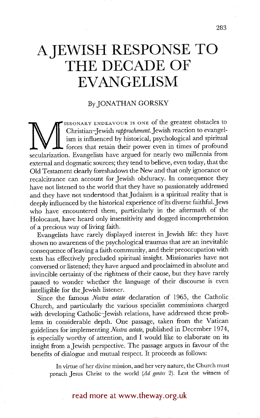## **A JEWISH RESPONSE TO THE DECADE OF EVANGELISM**

## By JONATHAN GORSKY

Christian–Jewish *rapprochement*. Jewish reaction to evangelism is influenced by historical, psychological and spiritual forces that retain their power even in times of profound secularization. Evangelists have argued for ISSONARY ENDEAVOUR IS ONE of the greatest obstacles to Christian-Jewish *rapprochement.Jewish* reaction to evangelism is influenced by historical, psychological and spiritual forces that retain their power even in times of profound external and dogmatic sources; they tend to believe, even today, that the Old Testament clearly foreshadows the New and that only ignorance or recalcitrance can account for Jewish obduracy. In consequence they have not listened to the world that they have so passionately addressed and they have not understood that Judaism is a spiritual reality that is deeply influenced by the historical experience of its diverse faithful. Jews who have encountered them, particularly in the aftermath of the Holocaust, have heard only insensitivity and dogged incomprehension of a precious way of !iving faith.

Evangelists have rarely displayed interest in Jewish life: they have shown no awareness of the psychological traumas that are an inevitable consequence of leaving a faith community, and their preoccupation with texts has effectively precluded spiritual insight. Missionaries have not conversed or listened; they have argued and proclaimed in absolute and invincible certainty of the rightness of their cause, but they have rarely paused to wonder whether the language of their discourse is even intelligible for the Jewish listener.

Since the famous *Nostra aerate* declaration of 1965, the Catholic Church, and particularly the various specialist commissions charged with developing Catholic-Jewish relations, have addressed these problems in considerable depth. One passage, taken from the Vatican guidelines for implementing *Nostra aerate,* published in December 1974, is especially worthy of attention, and I would like to elaborate on its insight from a Jewish perspective. The passage argues in favour of the benefits of dialogue and mutual respect. It proceeds as follows:

In virtue of her divine mission, and her very nature, the Church must preach Jesus Christ to the world *(Ad genres* 2). Lest the witness of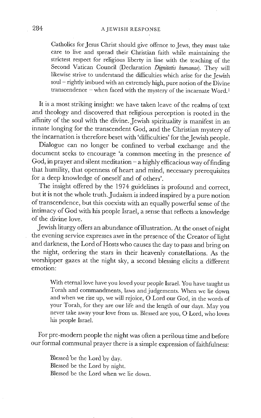Catholics for Jesus Christ should give offence to Jews, they must take care to live and spread their Christian faith while maintaining the strictest respect for religious liberty in line with the teaching of the Second Vatican Council (Declaration *Dignitatis humanae).* They will likewise strive to understand the difficulties which arise for the Jewish soul – rightly imbued with an extremely high, pure notion of the Divine transcendence - when faced with the mystery of the incarnate Word.<sup>1</sup>

It is a most striking insight: we have taken leave of the realms of text and theology and discovered that religious perception is rooted in the affinity of the soul with the divine. Jewish spirituality is manifest in an innate longing for the transcendent God, and the Christian mystery of the incarnation is therefore beset with 'difficulties' for the Jewish people.

Dialogue can no longer be confined to verbal exchange and the document seeks to encourage 'a common meeting in the presence of God, in prayer and silent meditation  $-a$  highly efficacious way of finding that humility, that openness of heart and mind, necessary prerequisites for a deep knowledge of oneself and of others'.

The insight offered by the 1974 guidelines is profound and correct, but it is not the whole truth. Judaism is indeed inspired by a pure notion of transcendence, but this coexists with an equally powerful sense of the intimacy of God with his people Israel, a sense that reflects a knowledge of the divine love.

Jewish liturgy offers an abundance of illustration. At the onset of night the evening service expresses awe in the presence of the Creator of light and darkness, the Lord of Hosts who causes the day to pass and bring on the night, ordering the stars in their heavenly constellations. As the worshipper gazes at the night sky, a second blessing elicits a different emotion:

With eternal love have you loved your people Israel. You have taught us Torah and commandments, laws and judgements. When we lie down and when we rise up, we will rejoice, O Lord our God, in the words of your Torah, for they are our life and the length of our days. May you never take away your love from us. Blessed are you, O Lord, who loves his people Israel.

For pre-modern people the night was often a perilous time and before our formal communal prayer there is a simple expression of faithfulness:

Blessed be the Lord by day. Blessed be the Lord by night. Blessed be the Lord when we lie down.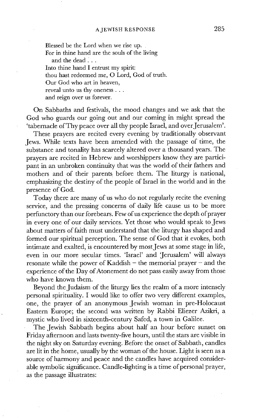Blessed be the Lord when we rise up. For in thine hand are the souls of the living and the dead.... Into thine hand I entrust my spirit: thou hast redeemed me, O Lord, God of truth. Our God who art in heaven, reveal unto us thy oneness... and reign over us forever.

On Sabbaths and festivals, the mood changes and we ask that the God who guards our going out and our coming in might spread the 'tabernacle of Thy peace over all thy people Israel, and over Jerusalem'.

These prayers are recited every evening by traditionally observant Jews. While texts have been amended with the passage of time, the substance and tonality has scarcely altered over a thousand years. The prayers are recited in Hebrew and worshippers know they are participant in an unbroken continuity that was the world of their fathers and mothers and of their parents before them. The liturgy is national, emphasizing the destiny of the people of Israel in the world and in the presence of God.

Today there are many of us who do not regularly recite the evening service, and the pressing concerns of daily life cause us to be more perfunctory than our forebears. Few of us experience the depth of prayer in every one of our daily services. Yet those who would speak to Jews about matters of faith must understand that the liturgy has shaped and formed our spiritual perception. The sense of God that it evokes, both intimate and exalted, is encountered by most Jews at some stage in life, even in our more secular times. 'Israel' and 'Jerusalem' will always resonate while the power of Kaddish  $-$  the memorial prayer  $-$  and the experience of the Day of Atonement do not pass easily away from those who have known them.

Beyond the Judaism of the liturgy lies the realm of a more intensely personal spirituality. I would like to offer two very different examples, one, the prayer of an anonymous Jewish woman in pre-Holocaust Eastern Europe; the second was written by Rabbi Eliezer Azikri, a mystic who lived in sixteenth-century Safed, a town in Galilee.

The Jewish Sabbath begins about half an hour before sunset on Friday afternoon and lasts twenty-five hours, until the stars are visible in the night sky on Saturday evening. Before the onset of Sabbath, candles are lit in the home, usually by the woman of the house. Light is seen as a source of harmony and peace and the candles have acquired considerable symbolic significance. Candle-lighting is a time of personal prayer, as the passage illustrates: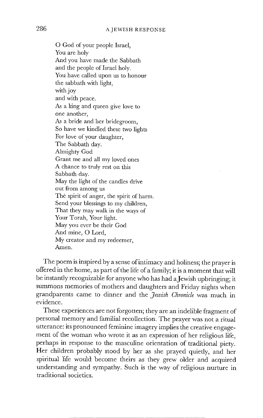O God of your people Israel, You are holy And you have made the Sabbath and the people of Israel holy. You have called upon us to honour the sabbath with light, with joy and with peace. As a king and queen give love to one another, As a bride and her bridegroom, So have we kindled these two lights For love of your daughter, The Sabbath day. Almighty God Grant me and all my loved ones A chance to truly rest on this Sabbath day. May the light of the candles drive out from among us The spirit of anger, the spirit of harm. Send your blessings to my children, That they may walk in the ways of Your Torah, Your light. May you ever be their God And mine, O Lord, My creator and my redeemer, Amen.

The poem is inspired by a sense of intimacy and holiness; the prayer is offered in the home, as part of the life of a family; it is a moment that will be instantly recognizable for anyone who has had a Jewish upbringing; it summons memories of mothers and daughters and Friday nights when grandparents came to dinner and the *Jewish Chronicle* was much in evidence.

These experiences are not forgotten; they are an indelible fragment of personal memory and familial recollection. The prayer was not a ritual utterance: its pronounced feminine imagery implies the creative engagement of the woman who wrote it as an expression of her religious life, perhaps in response to the masculine orientation of traditional piety. Her children probably stood by her as she prayed quietly, and her spiritual life would become theirs as they grew older and acquired understanding and sympathy. Such is the way of religious nurture in traditional societies.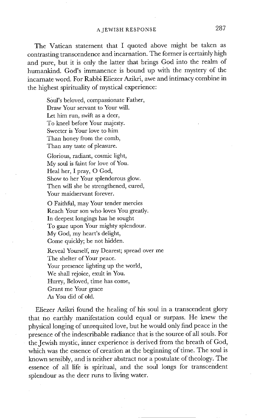The Vatican statement that I quoted above might be taken as contrasting transcendence and incarnation. The former is certainly high and pure, but it is only the latter that brings God into the realm of humankind. God's immanence is bound up with the mystery of the incarnate word. For Rabbi Eliezer Azikri, awe and intimacy combine in the highest spirituality of mystical experience:

S0Ul's beloved, compassionate Father, Draw Your servant to Your will. Let him run, swift as a deer, To kneel before Your majesty. Sweeter is Your love to him Than honey from the comb, Than any taste of pleasure.

Glorious, radiant, cosmic light, My soul is faint for love of You. Heal her, I pray, O God, Show to her Your splendorous glow. Then will she be strengthened, cured, Your maidservant forever.

O Faithful, may Your tender mercies Reach Your son who loves You greatly. In deepest longings has he sought To gaze upon Your mighty splendour. My God, my heart's delight, Come quickly; be not hidden.

Reveal Yourself, my Dearest; spread over me The shelter of Your peace. Your presence lighting up the world, We shall rejoice, exult in You. Hurry, Beloved, time has come, Grant me Your grace As You did of old.

Eliezer Azikri found the healing of his soul in a transcendent glory that no earthly manifestation could equal or surpass. He knew the physical longing of unrequited love, but he would only find peace in the presence of the indescribable radiance that is the source of all souls. For the Jewish mystic, inner experience is derived from the breath of God, which was the essence of creation at the beginning of time. The soul is known sensibly, and is neither abstract nor a postulate of theology. The essence of all life is spiritual, and the soul longs for transcendent splendour as the deer runs to living water.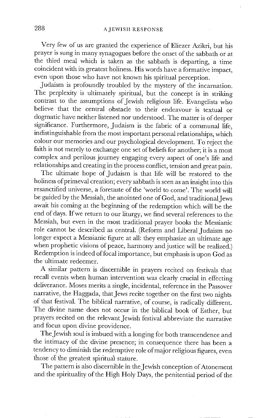Very few of us are granted the experience of Eliezer Azikri, but his prayer is sung in many synagogues before the onset of the sabbath or at the third meal which is taken as the sabbath is departing, a time coincident with its greatest holiness. His words have a formative impact, even upon those who have not known his spiritual perception.

Judaism is profoundly troubled by the mystery of the incarnation. The perplexity is ultimately spiritual, but the concept is in striking contrast to the assumptions of Jewish religious life. Evangelists who believe that the central obstacle to their endeavour is textual or dogmatic have neither listened nor understood. The matter is of deeper significance. Furthermore, Judaism is the fabric of a communal life, indistinguishable from the most important personal relationships, which colour our memories and our psychological development. To reject the faith is not merely to exchange one set of beliefs for another; it is a most complex and perilous journey engaging every aspect of one's life and relationships and creating in the process conflict, tension and great pain.

The ultimate hope of Judaism is that life will be restored to the holiness of primeval creation; every sabbath is seen as an insight into this resanctified universe, a foretaste of the 'world to come'. The world will be guided by the Messiah, the anointed one of God, and traditional Jews await his coming at the beginning of the redemption which will be the end of days. If we return to our liturgy, we find several references to the Messiah, but even in the most traditional prayer books the Messianic role cannot be described as central. (Reform and Liberal Judaism no longer expect a Messianic figure at all: they emphasize an ultimate age when prophetic visions of peace, harmony and justice will be realized.) Redemption is indeed of focal importance, but emphasis is upon God as the ultimate redeemer.

A similar pattern is discernible in prayers recited on festivals that recall events when human intervention was clearly crucial in effecting deliverance. Moses merits a single, incidental, reference in the Passover narrative, the Haggada, that Jews recite together on the first two nights of that festival. The biblical narrative, of course, is radically different. The divine name does not occur in the biblical book of Esther, but prayers recited on the relevant Jewish festival abbreviate the narrative and focus upon divine providence.

The Jewish soul is imbued with a longing for both transcendence and the intimacy of the divine presence; in consequence there has been a tendency to diminish the redemptive role of major religious figures, even those of the greatest spiritual stature.

The pattern is also discernible in the Jewish conception of Atonement and the spirituality of the High Holy Days, the penitential period of the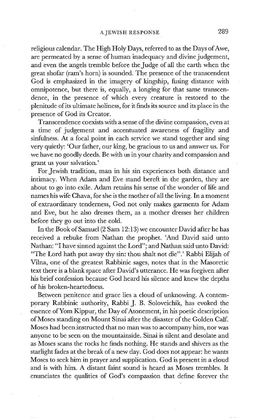religious calendar. The High Holy Days, referred to as the Days of Awe, are permeated by a sense of human inadequacy and divine judgement, and even the angels tremble before the Judge of all the earth when the great shofar (ram's horn) is sounded. The presence of the transcendent God is emphasized in the imagery of kingship, fusing distance with omnipotence, but there is, equally, a longing for that same transcendence, in the presence of which every creature is restored to the plenitude of its ultimate holiness, for it finds its source and its place in the presence of God its Creator.

Transcendence coexists with a sense of the divine compassion, even at a time of judgement and accentuated awareness of fragility and sinfulness. At a focal point in each service we stand together and sing very quiedy: 'Our father, our king, be gracious to us and answer us. For we have no goodly deeds. Be with us in your charity and compassion and grant us your salvation.'

For Jewish tradition, man in his sin experiences both distance and intimacy. When Adam and Eve stand bereft in the garden, they are about to go into exile. Adam retains his sense of the wonder of life and names his wife Chava, for she is the mother of all the living. In a moment of extraordinary tenderness, God not only makes garments for Adam and Eve, but he also dresses them, as a mother dresses her children before they go out into the cold.

In the Book of Samuel (2 Sam 12:13) we encounter David after he has received a rebuke from Nathan the prophet. 'And David said unto Nathan: "I have sinned against the Lord"; and Nathan said unto David: "The Lord hath put away thy sin: thou shalt not die".' Rabbi Elijah of Vilna, one of the greatest Rabbinic sages, notes that in the Masoretic text there is a blank space after David's utterance. He was forgiven after his brief confession because God heard his silence and knew the depths of his broken-heartedness.

Between penitence and grace lies a cloud of unknowing. A contemporary Rabbinic authority, Rabbi J. B. Soloveichik, has evoked the essence of Yom Kippur, the Day of Atonement, in his poetic description of Moses standing on Mount Sinai after the disaster of the Golden Calf. Moses had been instructed that no man was to accompany him, nor was anyone to be seen on the mountainside. Sinai is silent and desolate and as Moses scans the rocks he finds nothing. He stands and shivers as the starlight fades at the break of a new day. God does not appear: he wants Moses to seek him in prayer and supplication. God is present in a cloud and is with him. A distant faint sound is heard as Moses trembles. It enunciates the qualities of God's compassion that define forever the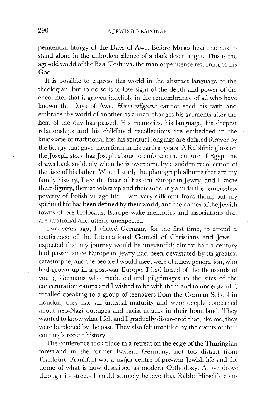penitential liturgy of the Days of Awe. Before Moses hears he has to stand alone in the unbroken silence of a dark desert night. This is the age-old world of the Baal Teshuva, the man of penitence returning to his God.

It is possible to express this world in the abstract language of the theologian, but to do so is to lose sight of the depth and power of the encounter that is graven indelibly in the remembrance of all who have known the Days of Awe. *Homo rdigiosus* cannot shed his faith and embrace the world of another as a man changes his garments after the heat of the day has passed. His memories, his language, his deepest relationships and his childhood recollections are embedded in the landscape of traditional life: his spiritual longings are defined forever by the liturgy that gave them form in his earliest years. A Rabbinic gloss on the Joseph story has Joseph about to embrace the culture of Egypt: he draws back suddenly when he is overcome by a sudden recollection of the face of his father. When I study the photograph albums that are my family history, I see the faces of Eastern European Jewry, and I know their dignity, their scholarship and their suffering amidst the remorseless poverty of Polish village life. I am very different from them, but my spiritual life has been defined by their world, and the names of the Jewish towns of pre-Holocaust Europe wake memories and associations that are irrational and utterly unexpected.

Two years ago, I visited Germany for the first time, to attend a conference of the International Council of Christians and Jews. I expected that my journey would be uneventful; almost half a century had passed since European Jewry had been devastated by its greatest catastrophe, and the people I would meet were of a new generation , who had grown up in a post-war Europe. I had heard of the thousands of young Germans who made cultural pilgrimages to the sites of the concentration camps and I wished to be with them and to understand. I recalled speaking to a group of teenagers from the German School in London; they had an unusual maturity and were deeply concerned about neo-Nazi outrages and racist attacks in their homeland. They wanted to know what I felt and I gradually discovered that, like me, they were burdened by the past. They also felt unsettled by the events of their country's recent history.

The conference took place in a retreat on the edge of the Thuringian forestland in the former Eastern Germany, not too distant from Frankfurt. Frankfurt was a major centre of pre-war Jewish life and the home of what is now described as modern Orthodoxy. As we drove through its streets I could scarcely believe that Rabbi Hirsch's com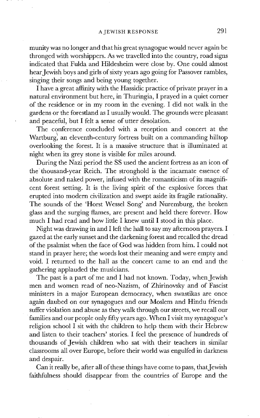munity was no longer and that his great synagogue would never again be thronged with worshippers. As we travelled into the country, road signs indicated that Fulda and Hildesheim were close by. One could almost hear Jewish boys and girls of sixty years ago going for Passover rambles, singing their songs and being young together.

I have a great affinity with the Hassidic practice of private prayer in a natural environment but here, in Thuringia, I prayed in a quiet corner of the residence or in my room in the evening. I did not walk in the gardens or the forestland as I usually would. The grounds were pleasant and peaceful, but I felt a sense of utter desolation.

The conference concluded with a reception and concert at the Wartburg, an eleventh-century fortress built on a commanding hilltop overlooking the forest. It is a massive structure that is illuminated at night when its grey stone is visible for miles around.

During the Nazi period the SS used the ancient fortress as an icon of the' thousand-year Reich. The stronghold is the incarnate essence of absolute and naked power, infused with the romanticism of its magnificent forest setting. It is the living spirit of the explosive forces that erupted into modern civilization and swept aside its fragile rationality. The sounds of the 'Horst Wessel Song' and Nuremburg, the broken glass and the surging flames, are present and held there forever. How much I had read and how little I knew until I stood in this place.

Night was drawing in and I left the hall to say my afternoon prayers. I gazed at the early sunset and the darkening forest and recalled the dread of the psalmist when the face of God was hidden from him. I could not stand in prayer here; the words lost their meaning and were empty and void. I returned to the hall as the concert came to an end and the gathering applauded the musicians.

The past is a part of me and I had not known. Today, when Jewish men and women read of neo-Nazism, of Zhirinovsky and of Fascist ministers in a major European democracy, when swastikas are once again daubed on our synagogues and our Moslem and Hindu friends suffer violation and abuse as they walk through our streets, we recall our families and our people only fifty years ago. When I visit my synagogue's religion school I sit with the children to help them with their Hebrew and listen to their teachers' stories. I feel the presence of hundreds of thousands of Jewish children who sat with their teachers in similar classrooms all over Europe, before their world was engulfed in darkness and despair.

Can it really be, after all of these things have come to pass, that Jewish faithfulness should disappear from the countries of Europe and the